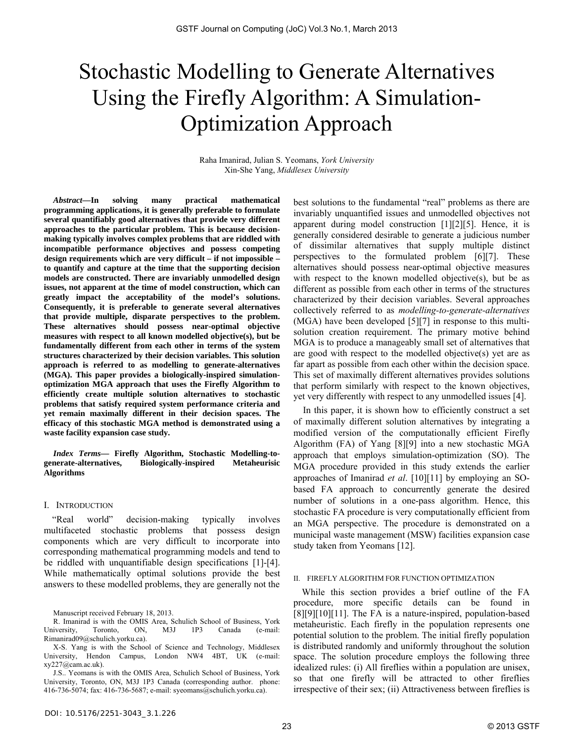# Stochastic Modelling to Generate Alternatives Using the Firefly Algorithm: A Simulation-Optimization Approach

Raha Imanirad, Julian S. Yeomans, *York University* Xin-She Yang, *Middlesex University*

*Abstract***—In solving many practical mathematical programming applications, it is generally preferable to formulate several quantifiably good alternatives that provide very different approaches to the particular problem. This is because decisionmaking typically involves complex problems that are riddled with incompatible performance objectives and possess competing design requirements which are very difficult – if not impossible – to quantify and capture at the time that the supporting decision models are constructed. There are invariably unmodelled design issues, not apparent at the time of model construction, which can greatly impact the acceptability of the model's solutions. Consequently, it is preferable to generate several alternatives that provide multiple, disparate perspectives to the problem. These alternatives should possess near-optimal objective measures with respect to all known modelled objective(s), but be fundamentally different from each other in terms of the system structures characterized by their decision variables. This solution approach is referred to as modelling to generate-alternatives (MGA). This paper provides a biologically-inspired simulationoptimization MGA approach that uses the Firefly Algorithm to efficiently create multiple solution alternatives to stochastic problems that satisfy required system performance criteria and yet remain maximally different in their decision spaces. The efficacy of this stochastic MGA method is demonstrated using a waste facility expansion case study.** 

*Index Terms***— Firefly Algorithm, Stochastic Modelling-togenerate-alternatives, Biologically-inspired Metaheurisic Algorithms** 

#### I. INTRODUCTION

"Real world" decision-making typically involves multifaceted stochastic problems that possess design components which are very difficult to incorporate into corresponding mathematical programming models and tend to be riddled with unquantifiable design specifications [1]-[4]. While mathematically optimal solutions provide the best answers to these modelled problems, they are generally not the

Manuscript received February 18, 2013.

X-S. Yang is with the School of Science and Technology, Middlesex University, Hendon Campus, London NW4 4BT, UK (e-mail: xy227@cam.ac.uk).

J.S.. Yeomans is with the OMIS Area, Schulich School of Business, York University, Toronto, ON, M3J 1P3 Canada (corresponding author. phone: 416-736-5074; fax: 416-736-5687; e-mail: syeomans@schulich.yorku.ca).

best solutions to the fundamental "real" problems as there are invariably unquantified issues and unmodelled objectives not apparent during model construction [1][2][5]. Hence, it is generally considered desirable to generate a judicious number of dissimilar alternatives that supply multiple distinct perspectives to the formulated problem [6][7]. These alternatives should possess near-optimal objective measures with respect to the known modelled objective(s), but be as different as possible from each other in terms of the structures characterized by their decision variables. Several approaches collectively referred to as *modelling-to-generate-alternatives* (MGA) have been developed [5][7] in response to this multisolution creation requirement. The primary motive behind MGA is to produce a manageably small set of alternatives that are good with respect to the modelled objective(s) yet are as far apart as possible from each other within the decision space. This set of maximally different alternatives provides solutions that perform similarly with respect to the known objectives, yet very differently with respect to any unmodelled issues [4].

In this paper, it is shown how to efficiently construct a set of maximally different solution alternatives by integrating a modified version of the computationally efficient Firefly Algorithm (FA) of Yang [8][9] into a new stochastic MGA approach that employs simulation-optimization (SO). The MGA procedure provided in this study extends the earlier approaches of Imanirad *et al*. [10][11] by employing an SObased FA approach to concurrently generate the desired number of solutions in a one-pass algorithm. Hence, this stochastic FA procedure is very computationally efficient from an MGA perspective. The procedure is demonstrated on a municipal waste management (MSW) facilities expansion case study taken from Yeomans [12].

#### II. FIREFLY ALGORITHM FOR FUNCTION OPTIMIZATION

While this section provides a brief outline of the FA procedure, more specific details can be found in [8][9][10][11]. The FA is a nature-inspired, population-based metaheuristic. Each firefly in the population represents one potential solution to the problem. The initial firefly population is distributed randomly and uniformly throughout the solution space. The solution procedure employs the following three idealized rules: (i) All fireflies within a population are unisex, so that one firefly will be attracted to other fireflies irrespective of their sex; (ii) Attractiveness between fireflies is

R. Imanirad is with the OMIS Area, Schulich School of Business, York University, Toronto, ON, M3J 1P3 Canada (e-mail: Rimanirad09@schulich.yorku.ca).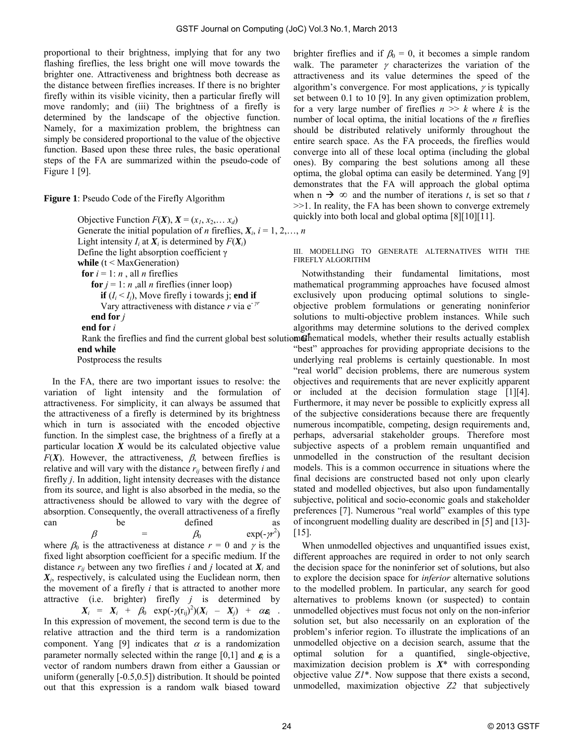proportional to their brightness, implying that for any two flashing fireflies, the less bright one will move towards the brighter one. Attractiveness and brightness both decrease as the distance between fireflies increases. If there is no brighter firefly within its visible vicinity, then a particular firefly will move randomly; and (iii) The brightness of a firefly is determined by the landscape of the objective function. Namely, for a maximization problem, the brightness can simply be considered proportional to the value of the objective function. Based upon these three rules, the basic operational steps of the FA are summarized within the pseudo-code of Figure 1 [9].

**Figure 1**: Pseudo Code of the Firefly Algorithm

Objective Function  $F(X)$ ,  $X = (x_1, x_2, \ldots, x_d)$ Generate the initial population of *n* fireflies,  $X_i$ ,  $i = 1, 2, \ldots, n$ Light intensity  $I_i$  at  $X_i$  is determined by  $F(X_i)$ Define the light absorption coefficient γ **while** (t < MaxGeneration) **for**  $i = 1$ : *n*, all *n* fireflies **for**  $j = 1$ : *n* ,all *n* fireflies (inner loop) **if**  $(I_i \leq I_i)$ , Move firefly i towards j; **end if**  Vary attractiveness with distance *r* via e- *γ<sup>r</sup>* **end for** *j* **end for** *i*

**end while** Postprocess the results

In the FA, there are two important issues to resolve: the variation of light intensity and the formulation of attractiveness. For simplicity, it can always be assumed that the attractiveness of a firefly is determined by its brightness which in turn is associated with the encoded objective function. In the simplest case, the brightness of a firefly at a particular location *X* would be its calculated objective value *F(X)*. However, the attractiveness,  $\beta$ , between fireflies is relative and will vary with the distance  $r_{ij}$  between firefly *i* and firefly *j*. In addition, light intensity decreases with the distance from its source, and light is also absorbed in the media, so the attractiveness should be allowed to vary with the degree of absorption. Consequently, the overall attractiveness of a firefly can be defined as  $\beta$  =  $\beta_0$  exp(- $\gamma r^2$ ) where  $\beta_0$  is the attractiveness at distance  $r = 0$  and  $\gamma$  is the

fixed light absorption coefficient for a specific medium. If the distance  $r_{ij}$  between any two fireflies *i* and *j* located at  $X_i$  and  $X_i$ , respectively, is calculated using the Euclidean norm, then the movement of a firefly *i* that is attracted to another more attractive (i.e. brighter) firefly *j* is determined by  $X_i = X_i + \beta_0 \exp(-\gamma (r_{ij})^2)(X_i - X_j) + \alpha \varepsilon_i$ . In this expression of movement, the second term is due to the relative attraction and the third term is a randomization component. Yang [9] indicates that  $\alpha$  is a randomization parameter normally selected within the range  $[0,1]$  and  $\varepsilon_i$  is a vector of random numbers drawn from either a Gaussian or uniform (generally [-0.5,0.5]) distribution. It should be pointed

out that this expression is a random walk biased toward

brighter fireflies and if  $\beta_0 = 0$ , it becomes a simple random walk. The parameter  $\gamma$  characterizes the variation of the attractiveness and its value determines the speed of the algorithm's convergence. For most applications,  $\gamma$  is typically set between 0.1 to 10 [9]. In any given optimization problem, for a very large number of fireflies  $n \gg k$  where k is the number of local optima, the initial locations of the *n* fireflies should be distributed relatively uniformly throughout the entire search space. As the FA proceeds, the fireflies would converge into all of these local optima (including the global ones). By comparing the best solutions among all these optima, the global optima can easily be determined. Yang [9] demonstrates that the FA will approach the global optima when  $n \rightarrow \infty$  and the number of iterations *t*, is set so that *t* >>1. In reality, the FA has been shown to converge extremely quickly into both local and global optima [8][10][11].

III. MODELLING TO GENERATE ALTERNATIVES WITH THE FIREFLY ALGORITHM

Rank the fireflies and find the current global best solution **G**<sup>\*</sup> hematical models, whether their results actually establish Notwithstanding their fundamental limitations, most mathematical programming approaches have focused almost exclusively upon producing optimal solutions to singleobjective problem formulations or generating noninferior solutions to multi-objective problem instances. While such algorithms may determine solutions to the derived complex "best" approaches for providing appropriate decisions to the underlying real problems is certainly questionable. In most "real world" decision problems, there are numerous system objectives and requirements that are never explicitly apparent or included at the decision formulation stage [1][4]. Furthermore, it may never be possible to explicitly express all of the subjective considerations because there are frequently numerous incompatible, competing, design requirements and, perhaps, adversarial stakeholder groups. Therefore most subjective aspects of a problem remain unquantified and unmodelled in the construction of the resultant decision models. This is a common occurrence in situations where the final decisions are constructed based not only upon clearly stated and modelled objectives, but also upon fundamentally subjective, political and socio-economic goals and stakeholder preferences [7]. Numerous "real world" examples of this type of incongruent modelling duality are described in [5] and [13]- [15].

> When unmodelled objectives and unquantified issues exist, different approaches are required in order to not only search the decision space for the noninferior set of solutions, but also to explore the decision space for *inferior* alternative solutions to the modelled problem. In particular, any search for good alternatives to problems known (or suspected) to contain unmodelled objectives must focus not only on the non-inferior solution set, but also necessarily on an exploration of the problem's inferior region. To illustrate the implications of an unmodelled objective on a decision search, assume that the optimal solution for a quantified, single-objective, maximization decision problem is *X*\* with corresponding objective value *Z1*\*. Now suppose that there exists a second, unmodelled, maximization objective *Z2* that subjectively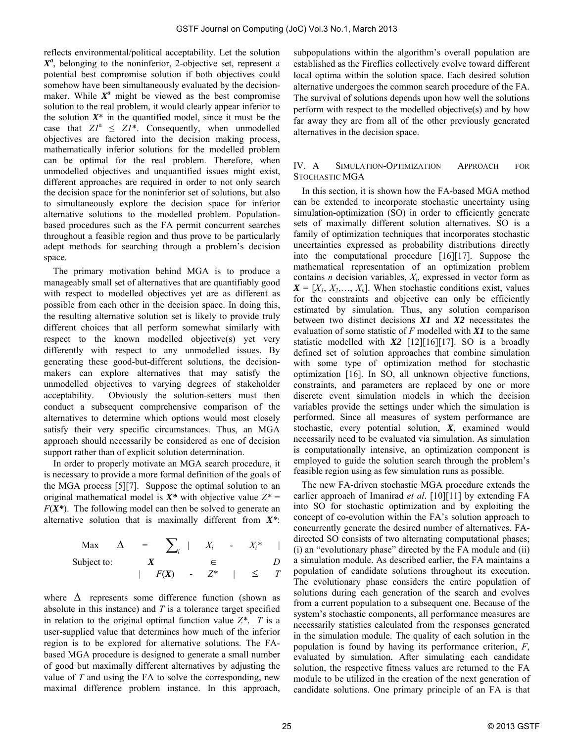reflects environmental/political acceptability. Let the solution  $X^a$ , belonging to the noninferior, 2-objective set, represent a potential best compromise solution if both objectives could somehow have been simultaneously evaluated by the decisionmaker. While  $X^a$  might be viewed as the best compromise solution to the real problem, it would clearly appear inferior to the solution  $X^*$  in the quantified model, since it must be the case that  $ZI^a \leq ZI^*$ . Consequently, when unmodelled objectives are factored into the decision making process, mathematically inferior solutions for the modelled problem can be optimal for the real problem. Therefore, when unmodelled objectives and unquantified issues might exist, different approaches are required in order to not only search the decision space for the noninferior set of solutions, but also to simultaneously explore the decision space for inferior alternative solutions to the modelled problem. Populationbased procedures such as the FA permit concurrent searches throughout a feasible region and thus prove to be particularly adept methods for searching through a problem's decision space.

The primary motivation behind MGA is to produce a manageably small set of alternatives that are quantifiably good with respect to modelled objectives yet are as different as possible from each other in the decision space. In doing this, the resulting alternative solution set is likely to provide truly different choices that all perform somewhat similarly with respect to the known modelled objective(s) yet very differently with respect to any unmodelled issues. By generating these good-but-different solutions, the decisionmakers can explore alternatives that may satisfy the unmodelled objectives to varying degrees of stakeholder acceptability. Obviously the solution-setters must then conduct a subsequent comprehensive comparison of the alternatives to determine which options would most closely satisfy their very specific circumstances. Thus, an MGA approach should necessarily be considered as one of decision support rather than of explicit solution determination.

In order to properly motivate an MGA search procedure, it is necessary to provide a more formal definition of the goals of the MGA process [5][7]. Suppose the optimal solution to an original mathematical model is  $X^*$  with objective value  $Z^*$  =  $F(X^*)$ . The following model can then be solved to generate an alternative solution that is maximally different from *X\**:

$$
\begin{array}{ccccccc}\n\text{Max} & \Delta & = & \sum_{i} & | & X_{i} & - & X_{i}^{*} & | \\
\text{Subject to:} & X & \in & D \\
& | & F(X) & - & Z^{*} & | & \leq & T\n\end{array}
$$

where  $\Delta$  represents some difference function (shown as absolute in this instance) and *T* is a tolerance target specified in relation to the original optimal function value  $Z^*$ . *T* is a user-supplied value that determines how much of the inferior region is to be explored for alternative solutions. The FAbased MGA procedure is designed to generate a small number of good but maximally different alternatives by adjusting the value of *T* and using the FA to solve the corresponding, new maximal difference problem instance. In this approach,

subpopulations within the algorithm's overall population are established as the Fireflies collectively evolve toward different local optima within the solution space. Each desired solution alternative undergoes the common search procedure of the FA. The survival of solutions depends upon how well the solutions perform with respect to the modelled objective(s) and by how far away they are from all of the other previously generated alternatives in the decision space.

## IV. A SIMULATION-OPTIMIZATION APPROACH FOR STOCHASTIC MGA

In this section, it is shown how the FA-based MGA method can be extended to incorporate stochastic uncertainty using simulation-optimization (SO) in order to efficiently generate sets of maximally different solution alternatives. SO is a family of optimization techniques that incorporates stochastic uncertainties expressed as probability distributions directly into the computational procedure [16][17]. Suppose the mathematical representation of an optimization problem contains *n* decision variables, *Xi*, expressed in vector form as  $X = [X_1, X_2, \ldots, X_n]$ . When stochastic conditions exist, values for the constraints and objective can only be efficiently estimated by simulation. Thus, any solution comparison between two distinct decisions *X1* and *X2* necessitates the evaluation of some statistic of *F* modelled with *X1* to the same statistic modelled with *X2* [12][16][17]. SO is a broadly defined set of solution approaches that combine simulation with some type of optimization method for stochastic optimization [16]. In SO, all unknown objective functions, constraints, and parameters are replaced by one or more discrete event simulation models in which the decision variables provide the settings under which the simulation is performed. Since all measures of system performance are stochastic, every potential solution, *X*, examined would necessarily need to be evaluated via simulation. As simulation is computationally intensive, an optimization component is employed to guide the solution search through the problem's feasible region using as few simulation runs as possible.

The new FA-driven stochastic MGA procedure extends the earlier approach of Imanirad *et al*. [10][11] by extending FA into SO for stochastic optimization and by exploiting the concept of co-evolution within the FA's solution approach to concurrently generate the desired number of alternatives. FAdirected SO consists of two alternating computational phases; (i) an "evolutionary phase" directed by the FA module and (ii) a simulation module. As described earlier, the FA maintains a population of candidate solutions throughout its execution. The evolutionary phase considers the entire population of solutions during each generation of the search and evolves from a current population to a subsequent one. Because of the system's stochastic components, all performance measures are necessarily statistics calculated from the responses generated in the simulation module. The quality of each solution in the population is found by having its performance criterion, *F*, evaluated by simulation. After simulating each candidate solution, the respective fitness values are returned to the FA module to be utilized in the creation of the next generation of candidate solutions. One primary principle of an FA is that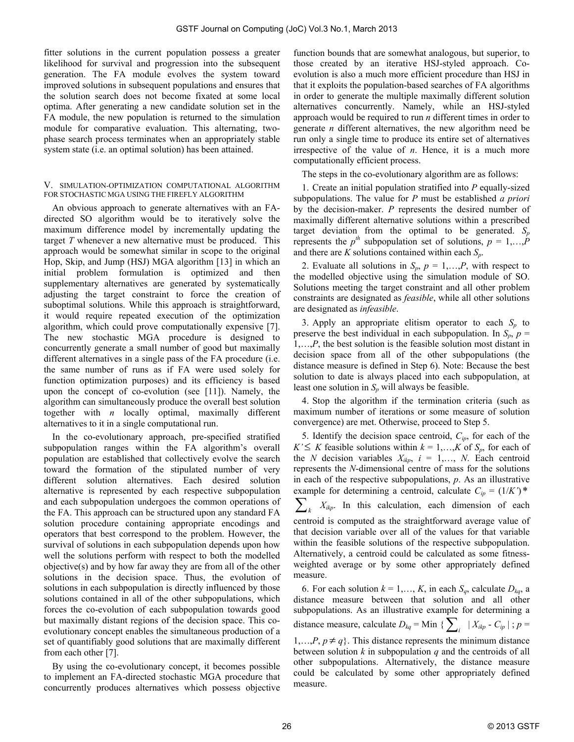fitter solutions in the current population possess a greater likelihood for survival and progression into the subsequent generation. The FA module evolves the system toward improved solutions in subsequent populations and ensures that the solution search does not become fixated at some local optima. After generating a new candidate solution set in the FA module, the new population is returned to the simulation module for comparative evaluation. This alternating, twophase search process terminates when an appropriately stable system state (i.e. an optimal solution) has been attained.

### V. SIMULATION-OPTIMIZATION COMPUTATIONAL ALGORITHM FOR STOCHASTIC MGA USING THE FIREFLY ALGORITHM

An obvious approach to generate alternatives with an FAdirected SO algorithm would be to iteratively solve the maximum difference model by incrementally updating the target *T* whenever a new alternative must be produced. This approach would be somewhat similar in scope to the original Hop, Skip, and Jump (HSJ) MGA algorithm [13] in which an initial problem formulation is optimized and then supplementary alternatives are generated by systematically adjusting the target constraint to force the creation of suboptimal solutions. While this approach is straightforward, it would require repeated execution of the optimization algorithm, which could prove computationally expensive [7]. The new stochastic MGA procedure is designed to concurrently generate a small number of good but maximally different alternatives in a single pass of the FA procedure (i.e. the same number of runs as if FA were used solely for function optimization purposes) and its efficiency is based upon the concept of co-evolution (see [11]). Namely, the algorithm can simultaneously produce the overall best solution together with *n* locally optimal, maximally different alternatives to it in a single computational run.

In the co-evolutionary approach, pre-specified stratified subpopulation ranges within the FA algorithm's overall population are established that collectively evolve the search toward the formation of the stipulated number of very different solution alternatives. Each desired solution alternative is represented by each respective subpopulation and each subpopulation undergoes the common operations of the FA. This approach can be structured upon any standard FA solution procedure containing appropriate encodings and operators that best correspond to the problem. However, the survival of solutions in each subpopulation depends upon how well the solutions perform with respect to both the modelled objective(s) and by how far away they are from all of the other solutions in the decision space. Thus, the evolution of solutions in each subpopulation is directly influenced by those solutions contained in all of the other subpopulations, which forces the co-evolution of each subpopulation towards good but maximally distant regions of the decision space. This coevolutionary concept enables the simultaneous production of a set of quantifiably good solutions that are maximally different from each other [7].

By using the co-evolutionary concept, it becomes possible to implement an FA-directed stochastic MGA procedure that concurrently produces alternatives which possess objective function bounds that are somewhat analogous, but superior, to those created by an iterative HSJ-styled approach. Coevolution is also a much more efficient procedure than HSJ in that it exploits the population-based searches of FA algorithms in order to generate the multiple maximally different solution alternatives concurrently. Namely, while an HSJ-styled approach would be required to run *n* different times in order to generate *n* different alternatives, the new algorithm need be run only a single time to produce its entire set of alternatives irrespective of the value of *n*. Hence, it is a much more computationally efficient process.

The steps in the co-evolutionary algorithm are as follows:

1. Create an initial population stratified into *P* equally-sized subpopulations. The value for *P* must be established *a priori* by the decision-maker. *P* represents the desired number of maximally different alternative solutions within a prescribed target deviation from the optimal to be generated.  $S_p$ represents the  $p^{th}$  subpopulation set of solutions,  $p = 1,...,P$ and there are *K* solutions contained within each *Sp*.

2. Evaluate all solutions in  $S_p$ ,  $p = 1,...,P$ , with respect to the modelled objective using the simulation module of SO. Solutions meeting the target constraint and all other problem constraints are designated as *feasible*, while all other solutions are designated as *infeasible*.

3. Apply an appropriate elitism operator to each  $S_p$  to preserve the best individual in each subpopulation. In  $S_p$ ,  $p =$ 1,…,*P*, the best solution is the feasible solution most distant in decision space from all of the other subpopulations (the distance measure is defined in Step 6). Note: Because the best solution to date is always placed into each subpopulation, at least one solution in  $S_p$  will always be feasible.

4. Stop the algorithm if the termination criteria (such as maximum number of iterations or some measure of solution convergence) are met. Otherwise, proceed to Step 5.

5. Identify the decision space centroid, *Cip*, for each of the *K*′≤ *K* feasible solutions within  $k = 1,...,K$  of  $S_p$ , for each of the *N* decision variables  $X_{ikp}$ ,  $i = 1,..., N$ . Each centroid represents the *N*-dimensional centre of mass for the solutions in each of the respective subpopulations, *p*. As an illustrative example for determining a centroid, calculate  $C_{ip} = (1/K^2)^*$  $\sum_{k} X_{ikp}$ . In this calculation, each dimension of each centroid is computed as the straightforward average value of that decision variable over all of the values for that variable within the feasible solutions of the respective subpopulation. Alternatively, a centroid could be calculated as some fitnessweighted average or by some other appropriately defined measure.

6. For each solution  $k = 1, \ldots, K$ , in each  $S_q$ , calculate  $D_{kq}$ , a distance measure between that solution and all other subpopulations. As an illustrative example for determining a distance measure, calculate  $D_{kq}$  = Min { $\sum_i |X_{ikp} - C_{ip}|$ ;  $p =$  $1,...,P, p \neq q$ . This distance represents the minimum distance between solution *k* in subpopulation *q* and the centroids of all other subpopulations. Alternatively, the distance measure could be calculated by some other appropriately defined measure.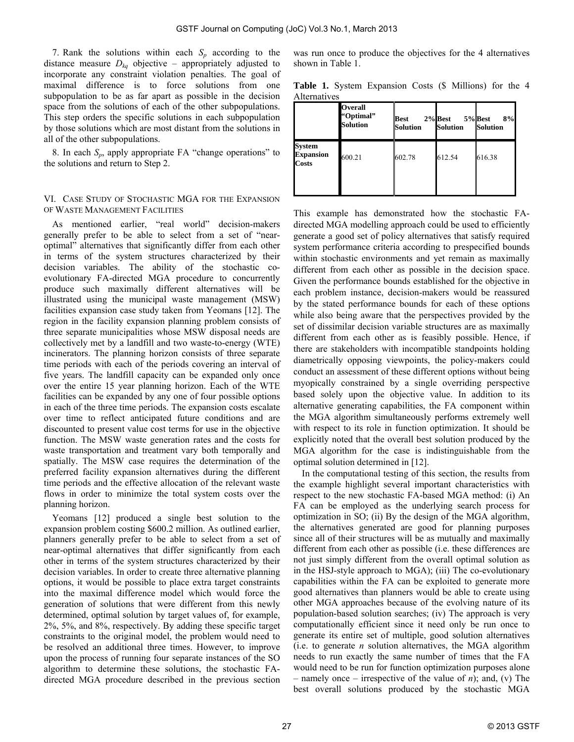7. Rank the solutions within each  $S_p$  according to the distance measure  $D_{kq}$  objective – appropriately adjusted to incorporate any constraint violation penalties. The goal of maximal difference is to force solutions from one subpopulation to be as far apart as possible in the decision space from the solutions of each of the other subpopulations. This step orders the specific solutions in each subpopulation by those solutions which are most distant from the solutions in all of the other subpopulations.

8. In each *Sp*, apply appropriate FA "change operations" to the solutions and return to Step 2.

## VI. CASE STUDY OF STOCHASTIC MGA FOR THE EXPANSION OF WASTE MANAGEMENT FACILITIES

As mentioned earlier, "real world" decision-makers generally prefer to be able to select from a set of "nearoptimal" alternatives that significantly differ from each other in terms of the system structures characterized by their decision variables. The ability of the stochastic coevolutionary FA-directed MGA procedure to concurrently produce such maximally different alternatives will be illustrated using the municipal waste management (MSW) facilities expansion case study taken from Yeomans [12]. The region in the facility expansion planning problem consists of three separate municipalities whose MSW disposal needs are collectively met by a landfill and two waste-to-energy (WTE) incinerators. The planning horizon consists of three separate time periods with each of the periods covering an interval of five years. The landfill capacity can be expanded only once over the entire 15 year planning horizon. Each of the WTE facilities can be expanded by any one of four possible options in each of the three time periods. The expansion costs escalate over time to reflect anticipated future conditions and are discounted to present value cost terms for use in the objective function. The MSW waste generation rates and the costs for waste transportation and treatment vary both temporally and spatially. The MSW case requires the determination of the preferred facility expansion alternatives during the different time periods and the effective allocation of the relevant waste flows in order to minimize the total system costs over the planning horizon.

Yeomans [12] produced a single best solution to the expansion problem costing \$600.2 million. As outlined earlier, planners generally prefer to be able to select from a set of near-optimal alternatives that differ significantly from each other in terms of the system structures characterized by their decision variables. In order to create three alternative planning options, it would be possible to place extra target constraints into the maximal difference model which would force the generation of solutions that were different from this newly determined, optimal solution by target values of, for example, 2%, 5%, and 8%, respectively. By adding these specific target constraints to the original model, the problem would need to be resolved an additional three times. However, to improve upon the process of running four separate instances of the SO algorithm to determine these solutions, the stochastic FAdirected MGA procedure described in the previous section

was run once to produce the objectives for the 4 alternatives shown in Table 1.

**Table 1.** System Expansion Costs (\$ Millions) for the 4 Alternatives

|                                            | <b>Overall</b><br>"Optimal"<br>Solution | <b>Best</b><br><b>Solution</b> | 2% Best<br><b>Solution</b> | 5% Best<br>8%<br><b>Solution</b> |
|--------------------------------------------|-----------------------------------------|--------------------------------|----------------------------|----------------------------------|
| <b>System</b><br><b>Expansion</b><br>Costs | 600.21                                  | 602.78                         | 612.54                     | 616.38                           |

This example has demonstrated how the stochastic FAdirected MGA modelling approach could be used to efficiently generate a good set of policy alternatives that satisfy required system performance criteria according to prespecified bounds within stochastic environments and yet remain as maximally different from each other as possible in the decision space. Given the performance bounds established for the objective in each problem instance, decision-makers would be reassured by the stated performance bounds for each of these options while also being aware that the perspectives provided by the set of dissimilar decision variable structures are as maximally different from each other as is feasibly possible. Hence, if there are stakeholders with incompatible standpoints holding diametrically opposing viewpoints, the policy-makers could conduct an assessment of these different options without being myopically constrained by a single overriding perspective based solely upon the objective value. In addition to its alternative generating capabilities, the FA component within the MGA algorithm simultaneously performs extremely well with respect to its role in function optimization. It should be explicitly noted that the overall best solution produced by the MGA algorithm for the case is indistinguishable from the optimal solution determined in [12].

In the computational testing of this section, the results from the example highlight several important characteristics with respect to the new stochastic FA-based MGA method: (i) An FA can be employed as the underlying search process for optimization in SO; (ii) By the design of the MGA algorithm, the alternatives generated are good for planning purposes since all of their structures will be as mutually and maximally different from each other as possible (i.e. these differences are not just simply different from the overall optimal solution as in the HSJ-style approach to MGA); (iii) The co-evolutionary capabilities within the FA can be exploited to generate more good alternatives than planners would be able to create using other MGA approaches because of the evolving nature of its population-based solution searches; (iv) The approach is very computationally efficient since it need only be run once to generate its entire set of multiple, good solution alternatives (i.e. to generate *n* solution alternatives, the MGA algorithm needs to run exactly the same number of times that the FA would need to be run for function optimization purposes alone – namely once – irrespective of the value of *n*); and, (v) The best overall solutions produced by the stochastic MGA